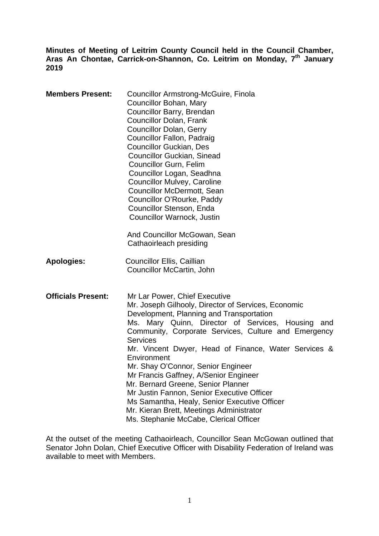**Minutes of Meeting of Leitrim County Council held in the Council Chamber,**  Aras An Chontae, Carrick-on-Shannon, Co. Leitrim on Monday, 7<sup>th</sup> January **2019** 

| <b>Members Present:</b>   | Councillor Armstrong-McGuire, Finola<br>Councillor Bohan, Mary<br>Councillor Barry, Brendan<br><b>Councillor Dolan, Frank</b><br><b>Councillor Dolan, Gerry</b><br><b>Councillor Fallon, Padraig</b><br><b>Councillor Guckian, Des</b><br><b>Councillor Guckian, Sinead</b><br>Councillor Gurn, Felim<br>Councillor Logan, Seadhna<br><b>Councillor Mulvey, Caroline</b><br><b>Councillor McDermott, Sean</b><br>Councillor O'Rourke, Paddy<br>Councillor Stenson, Enda<br>Councillor Warnock, Justin<br>And Councillor McGowan, Sean<br>Cathaoirleach presiding                                                                                    |
|---------------------------|-----------------------------------------------------------------------------------------------------------------------------------------------------------------------------------------------------------------------------------------------------------------------------------------------------------------------------------------------------------------------------------------------------------------------------------------------------------------------------------------------------------------------------------------------------------------------------------------------------------------------------------------------------|
| <b>Apologies:</b>         | <b>Councillor Ellis, Caillian</b><br>Councillor McCartin, John                                                                                                                                                                                                                                                                                                                                                                                                                                                                                                                                                                                      |
| <b>Officials Present:</b> | Mr Lar Power, Chief Executive<br>Mr. Joseph Gilhooly, Director of Services, Economic<br>Development, Planning and Transportation<br>Ms. Mary Quinn, Director of Services, Housing<br>and<br>Community, Corporate Services, Culture and Emergency<br><b>Services</b><br>Mr. Vincent Dwyer, Head of Finance, Water Services &<br>Environment<br>Mr. Shay O'Connor, Senior Engineer<br>Mr Francis Gaffney, A/Senior Engineer<br>Mr. Bernard Greene, Senior Planner<br>Mr Justin Fannon, Senior Executive Officer<br>Ms Samantha, Healy, Senior Executive Officer<br>Mr. Kieran Brett, Meetings Administrator<br>Ms. Stephanie McCabe, Clerical Officer |

At the outset of the meeting Cathaoirleach, Councillor Sean McGowan outlined that Senator John Dolan, Chief Executive Officer with Disability Federation of Ireland was available to meet with Members.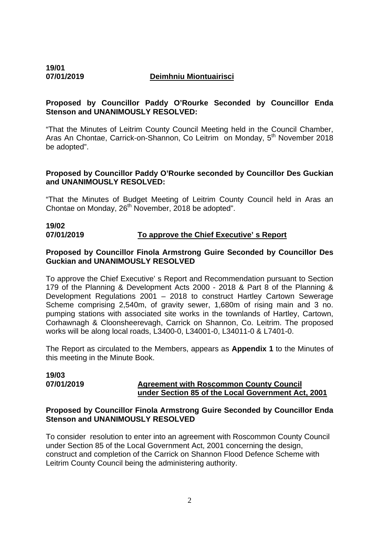**19/01** 

#### **07/01/2019 Deimhniu Miontuairisci**

#### **Proposed by Councillor Paddy O'Rourke Seconded by Councillor Enda Stenson and UNANIMOUSLY RESOLVED:**

"That the Minutes of Leitrim County Council Meeting held in the Council Chamber, Aras An Chontae, Carrick-on-Shannon, Co Leitrim on Monday, 5<sup>th</sup> November 2018 be adopted".

#### **Proposed by Councillor Paddy O'Rourke seconded by Councillor Des Guckian and UNANIMOUSLY RESOLVED:**

"That the Minutes of Budget Meeting of Leitrim County Council held in Aras an Chontae on Monday, 26<sup>th</sup> November, 2018 be adopted".

# **19/02**

#### **07/01/2019 To approve the Chief Executive' s Report**

#### **Proposed by Councillor Finola Armstrong Guire Seconded by Councillor Des Guckian and UNANIMOUSLY RESOLVED**

To approve the Chief Executive' s Report and Recommendation pursuant to Section 179 of the Planning & Development Acts 2000 - 2018 & Part 8 of the Planning & Development Regulations 2001 – 2018 to construct Hartley Cartown Sewerage Scheme comprising 2,540m, of gravity sewer, 1,680m of rising main and 3 no. pumping stations with associated site works in the townlands of Hartley, Cartown, Corhawnagh & Cloonsheerevagh, Carrick on Shannon, Co. Leitrim. The proposed works will be along local roads, L3400-0, L34001-0, L34011-0 & L7401-0.

The Report as circulated to the Members, appears as **Appendix 1** to the Minutes of this meeting in the Minute Book.

# **19/03**

#### **07/01/2019 Agreement with Roscommon County Council under Section 85 of the Local Government Act, 2001**

#### **Proposed by Councillor Finola Armstrong Guire Seconded by Councillor Enda Stenson and UNANIMOUSLY RESOLVED**

To consider resolution to enter into an agreement with Roscommon County Council under Section 85 of the Local Government Act, 2001 concerning the design, construct and completion of the Carrick on Shannon Flood Defence Scheme with Leitrim County Council being the administering authority.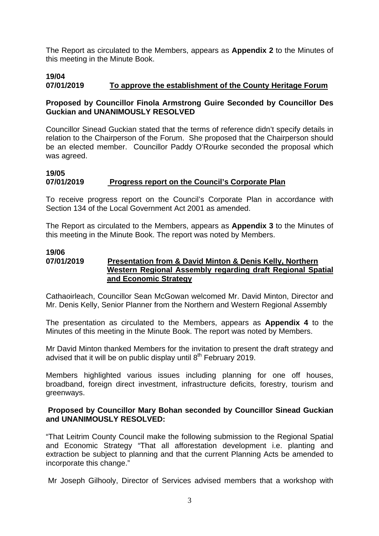The Report as circulated to the Members, appears as **Appendix 2** to the Minutes of this meeting in the Minute Book.

# **19/04 07/01/2019 To approve the establishment of the County Heritage Forum**

# **Proposed by Councillor Finola Armstrong Guire Seconded by Councillor Des Guckian and UNANIMOUSLY RESOLVED**

Councillor Sinead Guckian stated that the terms of reference didn't specify details in relation to the Chairperson of the Forum. She proposed that the Chairperson should be an elected member. Councillor Paddy O'Rourke seconded the proposal which was agreed.

# **19/05 07/01/2019 Progress report on the Council's Corporate Plan**

To receive progress report on the Council's Corporate Plan in accordance with Section 134 of the Local Government Act 2001 as amended.

The Report as circulated to the Members, appears as **Appendix 3** to the Minutes of this meeting in the Minute Book. The report was noted by Members.

#### **19/06 07/01/2019 Presentation from & David Minton & Denis Kelly, Northern Western Regional Assembly regarding draft Regional Spatial and Economic Strategy**

Cathaoirleach, Councillor Sean McGowan welcomed Mr. David Minton, Director and Mr. Denis Kelly, Senior Planner from the Northern and Western Regional Assembly

The presentation as circulated to the Members, appears as **Appendix 4** to the Minutes of this meeting in the Minute Book. The report was noted by Members.

Mr David Minton thanked Members for the invitation to present the draft strategy and advised that it will be on public display until  $8<sup>th</sup>$  February 2019.

Members highlighted various issues including planning for one off houses, broadband, foreign direct investment, infrastructure deficits, forestry, tourism and greenways.

# **Proposed by Councillor Mary Bohan seconded by Councillor Sinead Guckian and UNANIMOUSLY RESOLVED:**

"That Leitrim County Council make the following submission to the Regional Spatial and Economic Strategy "That all afforestation development i.e. planting and extraction be subject to planning and that the current Planning Acts be amended to incorporate this change."

Mr Joseph Gilhooly, Director of Services advised members that a workshop with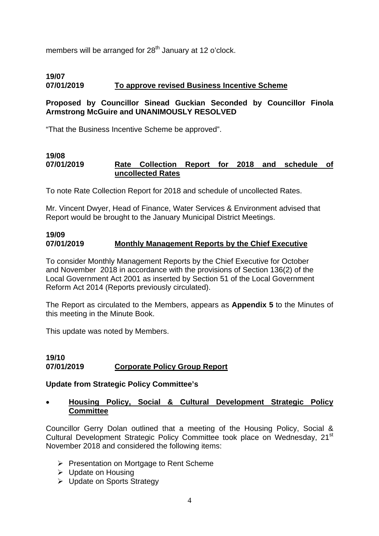members will be arranged for 28<sup>th</sup> January at 12 o'clock.

# **19/07**

# **07/01/2019 To approve revised Business Incentive Scheme**

# **Proposed by Councillor Sinead Guckian Seconded by Councillor Finola Armstrong McGuire and UNANIMOUSLY RESOLVED**

"That the Business Incentive Scheme be approved".

#### **19/08 07/01/2019 Rate Collection Report for 2018 and schedule of uncollected Rates**

To note Rate Collection Report for 2018 and schedule of uncollected Rates.

Mr. Vincent Dwyer, Head of Finance, Water Services & Environment advised that Report would be brought to the January Municipal District Meetings.

#### **19/09 07/01/2019 Monthly Management Reports by the Chief Executive**

To consider Monthly Management Reports by the Chief Executive for October and November 2018 in accordance with the provisions of Section 136(2) of the Local Government Act 2001 as inserted by Section 51 of the Local Government Reform Act 2014 (Reports previously circulated).

The Report as circulated to the Members, appears as **Appendix 5** to the Minutes of this meeting in the Minute Book.

This update was noted by Members.

#### **19/10 07/01/2019 Corporate Policy Group Report**

#### **Update from Strategic Policy Committee's**

# • **Housing Policy, Social & Cultural Development Strategic Policy Committee**

Councillor Gerry Dolan outlined that a meeting of the Housing Policy, Social & Cultural Development Strategic Policy Committee took place on Wednesday, 21<sup>st</sup> November 2018 and considered the following items:

- ¾ Presentation on Mortgage to Rent Scheme
- ¾ Update on Housing
- ¾ Update on Sports Strategy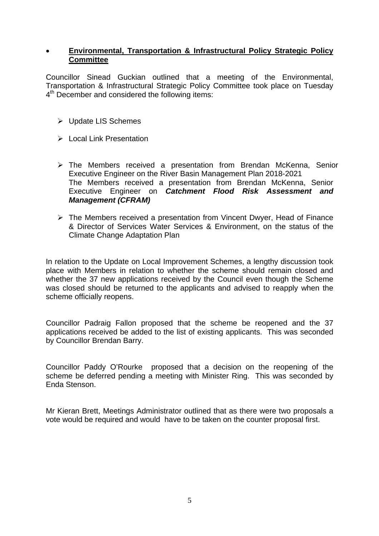#### • **Environmental, Transportation & Infrastructural Policy Strategic Policy Committee**

Councillor Sinead Guckian outlined that a meeting of the Environmental, Transportation & Infrastructural Strategic Policy Committee took place on Tuesday 4<sup>th</sup> December and considered the following items:

- ¾ Update LIS Schemes
- $\triangleright$  Local Link Presentation
- ¾ The Members received a presentation from Brendan McKenna, Senior Executive Engineer on the River Basin Management Plan 2018-2021 The Members received a presentation from Brendan McKenna, Senior Executive Engineer on *Catchment Flood Risk Assessment and Management (CFRAM)*
- ¾ The Members received a presentation from Vincent Dwyer, Head of Finance & Director of Services Water Services & Environment, on the status of the Climate Change Adaptation Plan

In relation to the Update on Local Improvement Schemes, a lengthy discussion took place with Members in relation to whether the scheme should remain closed and whether the 37 new applications received by the Council even though the Scheme was closed should be returned to the applicants and advised to reapply when the scheme officially reopens.

Councillor Padraig Fallon proposed that the scheme be reopened and the 37 applications received be added to the list of existing applicants. This was seconded by Councillor Brendan Barry.

Councillor Paddy O'Rourke proposed that a decision on the reopening of the scheme be deferred pending a meeting with Minister Ring. This was seconded by Enda Stenson.

Mr Kieran Brett, Meetings Administrator outlined that as there were two proposals a vote would be required and would have to be taken on the counter proposal first.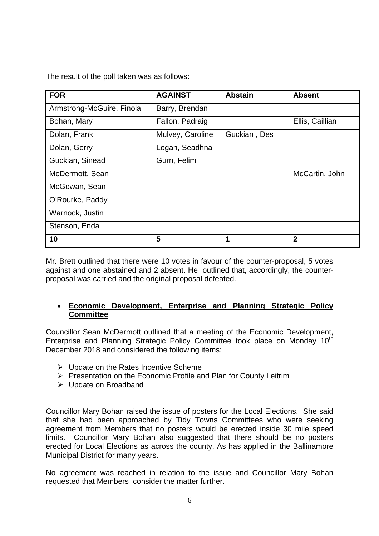The result of the poll taken was as follows:

| <b>FOR</b>                | <b>AGAINST</b>   | <b>Abstain</b> | <b>Absent</b>   |
|---------------------------|------------------|----------------|-----------------|
| Armstrong-McGuire, Finola | Barry, Brendan   |                |                 |
| Bohan, Mary               | Fallon, Padraig  |                | Ellis, Caillian |
| Dolan, Frank              | Mulvey, Caroline | Guckian, Des   |                 |
| Dolan, Gerry              | Logan, Seadhna   |                |                 |
| Guckian, Sinead           | Gurn, Felim      |                |                 |
| McDermott, Sean           |                  |                | McCartin, John  |
| McGowan, Sean             |                  |                |                 |
| O'Rourke, Paddy           |                  |                |                 |
| Warnock, Justin           |                  |                |                 |
| Stenson, Enda             |                  |                |                 |
| 10                        | 5                | 1              | $\mathbf 2$     |

Mr. Brett outlined that there were 10 votes in favour of the counter-proposal, 5 votes against and one abstained and 2 absent. He outlined that, accordingly, the counterproposal was carried and the original proposal defeated.

# • **Economic Development, Enterprise and Planning Strategic Policy Committee**

Councillor Sean McDermott outlined that a meeting of the Economic Development, Enterprise and Planning Strategic Policy Committee took place on Monday 10<sup>th</sup> December 2018 and considered the following items:

- $\triangleright$  Update on the Rates Incentive Scheme
- ¾ Presentation on the Economic Profile and Plan for County Leitrim
- ¾ Update on Broadband

Councillor Mary Bohan raised the issue of posters for the Local Elections. She said that she had been approached by Tidy Towns Committees who were seeking agreement from Members that no posters would be erected inside 30 mile speed limits. Councillor Mary Bohan also suggested that there should be no posters erected for Local Elections as across the county. As has applied in the Ballinamore Municipal District for many years.

No agreement was reached in relation to the issue and Councillor Mary Bohan requested that Members consider the matter further.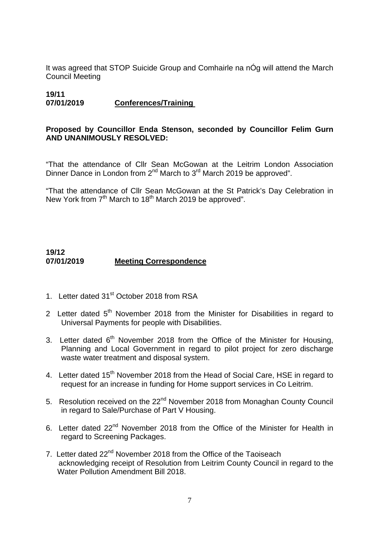It was agreed that STOP Suicide Group and Comhairle na nÓg will attend the March Council Meeting

# **19/11 07/01/2019 Conferences/Training**

#### **Proposed by Councillor Enda Stenson, seconded by Councillor Felim Gurn AND UNANIMOUSLY RESOLVED:**

"That the attendance of Cllr Sean McGowan at the Leitrim London Association Dinner Dance in London from 2<sup>nd</sup> March to 3<sup>rd</sup> March 2019 be approved".

"That the attendance of Cllr Sean McGowan at the St Patrick's Day Celebration in New York from 7<sup>th</sup> March to 18<sup>th</sup> March 2019 be approved".

# **19/12 07/01/2019 Meeting Correspondence**

- 1. Letter dated 31<sup>st</sup> October 2018 from RSA
- 2 Letter dated  $5<sup>th</sup>$  November 2018 from the Minister for Disabilities in regard to Universal Payments for people with Disabilities.
- 3. Letter dated  $6<sup>th</sup>$  November 2018 from the Office of the Minister for Housing, Planning and Local Government in regard to pilot project for zero discharge waste water treatment and disposal system.
- 4. Letter dated 15<sup>th</sup> November 2018 from the Head of Social Care, HSE in regard to request for an increase in funding for Home support services in Co Leitrim.
- 5. Resolution received on the 22<sup>nd</sup> November 2018 from Monaghan County Council in regard to Sale/Purchase of Part V Housing.
- 6. Letter dated 22<sup>nd</sup> November 2018 from the Office of the Minister for Health in regard to Screening Packages.
- 7. Letter dated 22<sup>nd</sup> November 2018 from the Office of the Taoiseach acknowledging receipt of Resolution from Leitrim County Council in regard to the Water Pollution Amendment Bill 2018.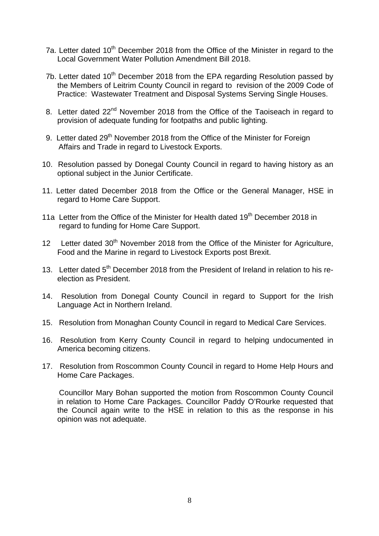- 7a. Letter dated 10<sup>th</sup> December 2018 from the Office of the Minister in regard to the Local Government Water Pollution Amendment Bill 2018.
- 7b. Letter dated  $10<sup>th</sup>$  December 2018 from the EPA regarding Resolution passed by the Members of Leitrim County Council in regard to revision of the 2009 Code of Practice: Wastewater Treatment and Disposal Systems Serving Single Houses.
- 8. Letter dated 22<sup>nd</sup> November 2018 from the Office of the Taoiseach in regard to provision of adequate funding for footpaths and public lighting.
- 9. Letter dated 29<sup>th</sup> November 2018 from the Office of the Minister for Foreign Affairs and Trade in regard to Livestock Exports.
- 10. Resolution passed by Donegal County Council in regard to having history as an optional subject in the Junior Certificate.
- 11. Letter dated December 2018 from the Office or the General Manager, HSE in regard to Home Care Support.
- 11a Letter from the Office of the Minister for Health dated 19<sup>th</sup> December 2018 in regard to funding for Home Care Support.
- 12 Letter dated 30<sup>th</sup> November 2018 from the Office of the Minister for Agriculture, Food and the Marine in regard to Livestock Exports post Brexit.
- 13. Letter dated  $5<sup>th</sup>$  December 2018 from the President of Ireland in relation to his reelection as President.
- 14. Resolution from Donegal County Council in regard to Support for the Irish Language Act in Northern Ireland.
- 15. Resolution from Monaghan County Council in regard to Medical Care Services.
- 16. Resolution from Kerry County Council in regard to helping undocumented in America becoming citizens.
- 17. Resolution from Roscommon County Council in regard to Home Help Hours and Home Care Packages.

 Councillor Mary Bohan supported the motion from Roscommon County Council in relation to Home Care Packages. Councillor Paddy O'Rourke requested that the Council again write to the HSE in relation to this as the response in his opinion was not adequate.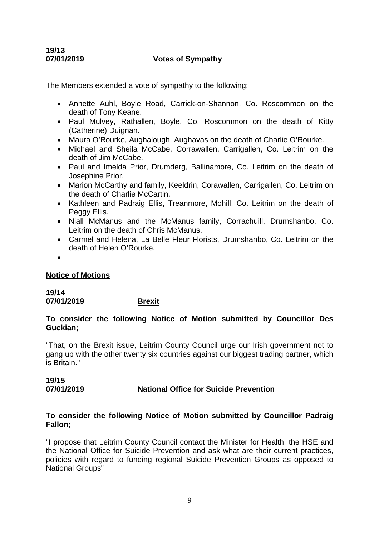# **19/13**

#### **07/01/2019 Votes of Sympathy**

The Members extended a vote of sympathy to the following:

- Annette Auhl, Boyle Road, Carrick-on-Shannon, Co. Roscommon on the death of Tony Keane.
- Paul Mulvey, Rathallen, Boyle, Co. Roscommon on the death of Kitty (Catherine) Duignan.
- Maura O'Rourke, Aughalough, Aughavas on the death of Charlie O'Rourke.
- Michael and Sheila McCabe, Corrawallen, Carrigallen, Co. Leitrim on the death of Jim McCabe.
- Paul and Imelda Prior, Drumderg, Ballinamore, Co. Leitrim on the death of Josephine Prior.
- Marion McCarthy and family, Keeldrin, Corawallen, Carrigallen, Co. Leitrim on the death of Charlie McCartin.
- Kathleen and Padraig Ellis, Treanmore, Mohill, Co. Leitrim on the death of Peggy Ellis.
- Niall McManus and the McManus family, Corrachuill, Drumshanbo, Co. Leitrim on the death of Chris McManus.
- Carmel and Helena, La Belle Fleur Florists, Drumshanbo, Co. Leitrim on the death of Helen O'Rourke.
- •

#### **Notice of Motions**

**19/14 07/01/2019 Brexit** 

#### **To consider the following Notice of Motion submitted by Councillor Des Guckian;**

"That, on the Brexit issue, Leitrim County Council urge our Irish government not to gang up with the other twenty six countries against our biggest trading partner, which is Britain."

#### **19/15 07/01/2019 National Office for Suicide Prevention**

#### **To consider the following Notice of Motion submitted by Councillor Padraig Fallon;**

"I propose that Leitrim County Council contact the Minister for Health, the HSE and the National Office for Suicide Prevention and ask what are their current practices, policies with regard to funding regional Suicide Prevention Groups as opposed to National Groups"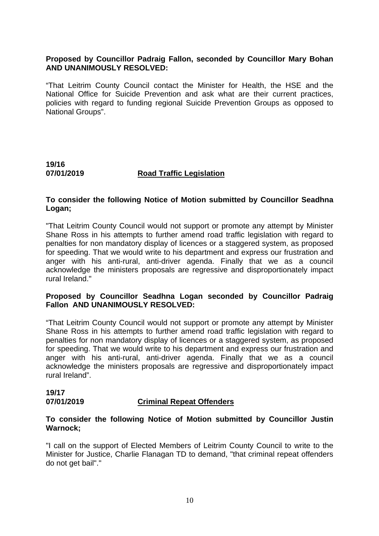#### **Proposed by Councillor Padraig Fallon, seconded by Councillor Mary Bohan AND UNANIMOUSLY RESOLVED:**

"That Leitrim County Council contact the Minister for Health, the HSE and the National Office for Suicide Prevention and ask what are their current practices, policies with regard to funding regional Suicide Prevention Groups as opposed to National Groups".

**19/16 07/01/2019 Road Traffic Legislation** 

#### **To consider the following Notice of Motion submitted by Councillor Seadhna Logan;**

"That Leitrim County Council would not support or promote any attempt by Minister Shane Ross in his attempts to further amend road traffic legislation with regard to penalties for non mandatory display of licences or a staggered system, as proposed for speeding. That we would write to his department and express our frustration and anger with his anti-rural, anti-driver agenda. Finally that we as a council acknowledge the ministers proposals are regressive and disproportionately impact rural Ireland."

#### **Proposed by Councillor Seadhna Logan seconded by Councillor Padraig Fallon AND UNANIMOUSLY RESOLVED:**

"That Leitrim County Council would not support or promote any attempt by Minister Shane Ross in his attempts to further amend road traffic legislation with regard to penalties for non mandatory display of licences or a staggered system, as proposed for speeding. That we would write to his department and express our frustration and anger with his anti-rural, anti-driver agenda. Finally that we as a council acknowledge the ministers proposals are regressive and disproportionately impact rural Ireland".

# **19/17 07/01/2019 Criminal Repeat Offenders**

#### **To consider the following Notice of Motion submitted by Councillor Justin Warnock;**

"I call on the support of Elected Members of Leitrim County Council to write to the Minister for Justice, Charlie Flanagan TD to demand, "that criminal repeat offenders do not get bail"."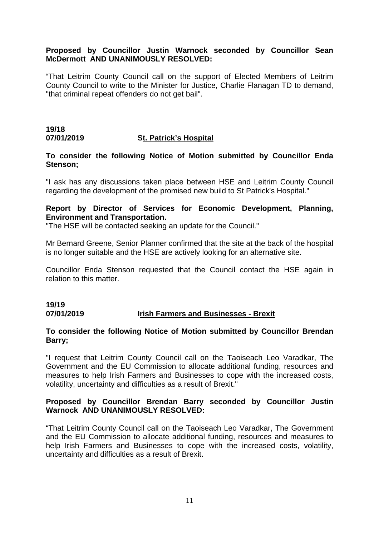#### **Proposed by Councillor Justin Warnock seconded by Councillor Sean McDermott AND UNANIMOUSLY RESOLVED:**

"That Leitrim County Council call on the support of Elected Members of Leitrim County Council to write to the Minister for Justice, Charlie Flanagan TD to demand, "that criminal repeat offenders do not get bail".

#### **19/18 07/01/2019 St. Patrick's Hospital**

#### **To consider the following Notice of Motion submitted by Councillor Enda Stenson;**

"I ask has any discussions taken place between HSE and Leitrim County Council regarding the development of the promised new build to St Patrick's Hospital."

#### **Report by Director of Services for Economic Development, Planning, Environment and Transportation.**

"The HSE will be contacted seeking an update for the Council."

Mr Bernard Greene, Senior Planner confirmed that the site at the back of the hospital is no longer suitable and the HSE are actively looking for an alternative site.

Councillor Enda Stenson requested that the Council contact the HSE again in relation to this matter.

# **19/19 07/01/2019 Irish Farmers and Businesses - Brexit**

#### **To consider the following Notice of Motion submitted by Councillor Brendan Barry;**

"I request that Leitrim County Council call on the Taoiseach Leo Varadkar, The Government and the EU Commission to allocate additional funding, resources and measures to help Irish Farmers and Businesses to cope with the increased costs, volatility, uncertainty and difficulties as a result of Brexit."

#### **Proposed by Councillor Brendan Barry seconded by Councillor Justin Warnock AND UNANIMOUSLY RESOLVED:**

"That Leitrim County Council call on the Taoiseach Leo Varadkar, The Government and the EU Commission to allocate additional funding, resources and measures to help Irish Farmers and Businesses to cope with the increased costs, volatility, uncertainty and difficulties as a result of Brexit.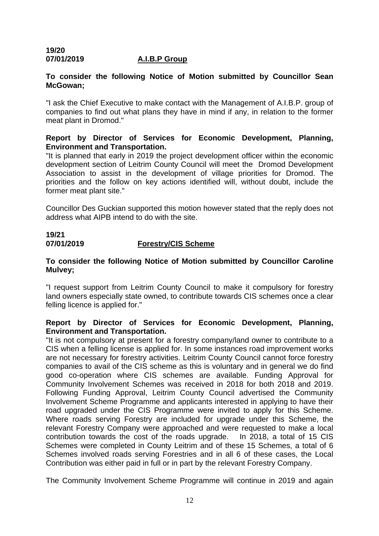# **19/20 07/01/2019 A.I.B.P Group**

# **To consider the following Notice of Motion submitted by Councillor Sean McGowan;**

"I ask the Chief Executive to make contact with the Management of A.I.B.P. group of companies to find out what plans they have in mind if any, in relation to the former meat plant in Dromod."

# **Report by Director of Services for Economic Development, Planning, Environment and Transportation.**

"It is planned that early in 2019 the project development officer within the economic development section of Leitrim County Council will meet the Dromod Development Association to assist in the development of village priorities for Dromod. The priorities and the follow on key actions identified will, without doubt, include the former meat plant site."

Councillor Des Guckian supported this motion however stated that the reply does not address what AIPB intend to do with the site.

# **19/21 07/01/2019 Forestry/CIS Scheme**

# **To consider the following Notice of Motion submitted by Councillor Caroline Mulvey;**

"I request support from Leitrim County Council to make it compulsory for forestry land owners especially state owned, to contribute towards CIS schemes once a clear felling licence is applied for."

# **Report by Director of Services for Economic Development, Planning, Environment and Transportation.**

"It is not compulsory at present for a forestry company/land owner to contribute to a CIS when a felling license is applied for. In some instances road improvement works are not necessary for forestry activities. Leitrim County Council cannot force forestry companies to avail of the CIS scheme as this is voluntary and in general we do find good co-operation where CIS schemes are available. Funding Approval for Community Involvement Schemes was received in 2018 for both 2018 and 2019. Following Funding Approval, Leitrim County Council advertised the Community Involvement Scheme Programme and applicants interested in applying to have their road upgraded under the CIS Programme were invited to apply for this Scheme. Where roads serving Forestry are included for upgrade under this Scheme, the relevant Forestry Company were approached and were requested to make a local contribution towards the cost of the roads upgrade. In 2018, a total of 15 CIS Schemes were completed in County Leitrim and of these 15 Schemes, a total of 6 Schemes involved roads serving Forestries and in all 6 of these cases, the Local Contribution was either paid in full or in part by the relevant Forestry Company.

The Community Involvement Scheme Programme will continue in 2019 and again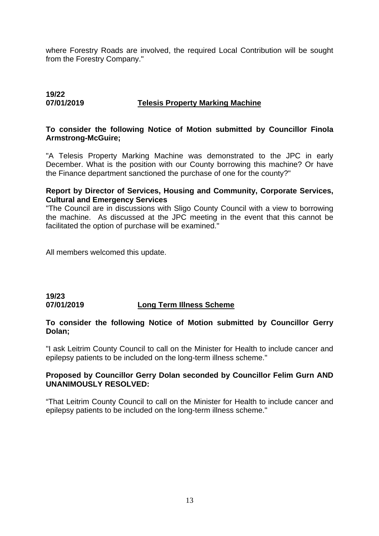where Forestry Roads are involved, the required Local Contribution will be sought from the Forestry Company."

# **19/22 07/01/2019 Telesis Property Marking Machine**

#### **To consider the following Notice of Motion submitted by Councillor Finola Armstrong-McGuire;**

"A Telesis Property Marking Machine was demonstrated to the JPC in early December. What is the position with our County borrowing this machine? Or have the Finance department sanctioned the purchase of one for the county?"

#### **Report by Director of Services, Housing and Community, Corporate Services, Cultural and Emergency Services**

"The Council are in discussions with Sligo County Council with a view to borrowing the machine. As discussed at the JPC meeting in the event that this cannot be facilitated the option of purchase will be examined."

All members welcomed this update.

# **19/23 07/01/2019 Long Term Illness Scheme**

#### **To consider the following Notice of Motion submitted by Councillor Gerry Dolan;**

"I ask Leitrim County Council to call on the Minister for Health to include cancer and epilepsy patients to be included on the long-term illness scheme."

#### **Proposed by Councillor Gerry Dolan seconded by Councillor Felim Gurn AND UNANIMOUSLY RESOLVED:**

"That Leitrim County Council to call on the Minister for Health to include cancer and epilepsy patients to be included on the long-term illness scheme."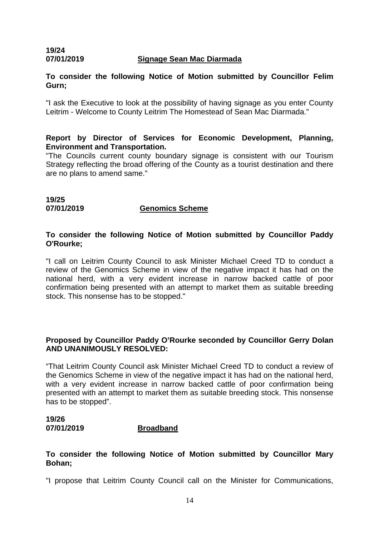# **19/24 07/01/2019 Signage Sean Mac Diarmada**

# **To consider the following Notice of Motion submitted by Councillor Felim Gurn;**

"I ask the Executive to look at the possibility of having signage as you enter County Leitrim - Welcome to County Leitrim The Homestead of Sean Mac Diarmada."

### **Report by Director of Services for Economic Development, Planning, Environment and Transportation.**

"The Councils current county boundary signage is consistent with our Tourism Strategy reflecting the broad offering of the County as a tourist destination and there are no plans to amend same."

# **19/25**

# **07/01/2019 Genomics Scheme**

# **To consider the following Notice of Motion submitted by Councillor Paddy O'Rourke;**

"I call on Leitrim County Council to ask Minister Michael Creed TD to conduct a review of the Genomics Scheme in view of the negative impact it has had on the national herd, with a very evident increase in narrow backed cattle of poor confirmation being presented with an attempt to market them as suitable breeding stock. This nonsense has to be stopped."

# **Proposed by Councillor Paddy O'Rourke seconded by Councillor Gerry Dolan AND UNANIMOUSLY RESOLVED:**

"That Leitrim County Council ask Minister Michael Creed TD to conduct a review of the Genomics Scheme in view of the negative impact it has had on the national herd, with a very evident increase in narrow backed cattle of poor confirmation being presented with an attempt to market them as suitable breeding stock. This nonsense has to be stopped".

# **19/26 07/01/2019 Broadband**

# **To consider the following Notice of Motion submitted by Councillor Mary Bohan;**

"I propose that Leitrim County Council call on the Minister for Communications,